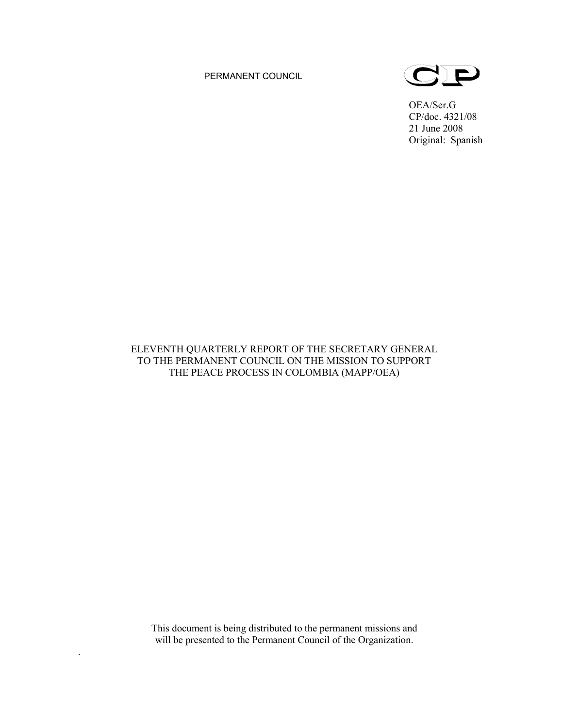PERMANENT COUNCIL



OEA/Ser.G CP/doc. 4321/08 21 June 2008 Original: Spanish

# ELEVENTH QUARTERLY REPORT OF THE SECRETARY GENERAL TO THE PERMANENT COUNCIL ON THE MISSION TO SUPPORT THE PEACE PROCESS IN COLOMBIA (MAPP/OEA)

This document is being distributed to the permanent missions and will be presented to the Permanent Council of the Organization.

.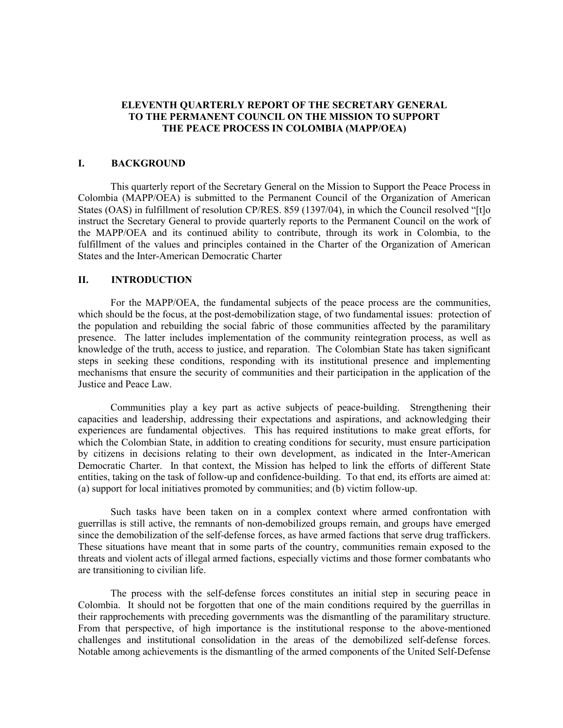# **ELEVENTH QUARTERLY REPORT OF THE SECRETARY GENERAL TO THE PERMANENT COUNCIL ON THE MISSION TO SUPPORT THE PEACE PROCESS IN COLOMBIA (MAPP/OEA)**

# **I. BACKGROUND**

This quarterly report of the Secretary General on the Mission to Support the Peace Process in Colombia (MAPP/OEA) is submitted to the Permanent Council of the Organization of American States (OAS) in fulfillment of resolution CP/RES. 859 (1397/04), in which the Council resolved "[t]o instruct the Secretary General to provide quarterly reports to the Permanent Council on the work of the MAPP/OEA and its continued ability to contribute, through its work in Colombia, to the fulfillment of the values and principles contained in the Charter of the Organization of American States and the Inter-American Democratic Charter

# **II. INTRODUCTION**

For the MAPP/OEA, the fundamental subjects of the peace process are the communities, which should be the focus, at the post-demobilization stage, of two fundamental issues: protection of the population and rebuilding the social fabric of those communities affected by the paramilitary presence. The latter includes implementation of the community reintegration process, as well as knowledge of the truth, access to justice, and reparation. The Colombian State has taken significant steps in seeking these conditions, responding with its institutional presence and implementing mechanisms that ensure the security of communities and their participation in the application of the Justice and Peace Law.

Communities play a key part as active subjects of peace-building. Strengthening their capacities and leadership, addressing their expectations and aspirations, and acknowledging their experiences are fundamental objectives. This has required institutions to make great efforts, for which the Colombian State, in addition to creating conditions for security, must ensure participation by citizens in decisions relating to their own development, as indicated in the Inter-American Democratic Charter. In that context, the Mission has helped to link the efforts of different State entities, taking on the task of follow-up and confidence-building. To that end, its efforts are aimed at: (a) support for local initiatives promoted by communities; and (b) victim follow-up.

Such tasks have been taken on in a complex context where armed confrontation with guerrillas is still active, the remnants of non-demobilized groups remain, and groups have emerged since the demobilization of the self-defense forces, as have armed factions that serve drug traffickers. These situations have meant that in some parts of the country, communities remain exposed to the threats and violent acts of illegal armed factions, especially victims and those former combatants who are transitioning to civilian life.

The process with the self-defense forces constitutes an initial step in securing peace in Colombia. It should not be forgotten that one of the main conditions required by the guerrillas in their rapprochements with preceding governments was the dismantling of the paramilitary structure. From that perspective, of high importance is the institutional response to the above-mentioned challenges and institutional consolidation in the areas of the demobilized self-defense forces. Notable among achievements is the dismantling of the armed components of the United Self-Defense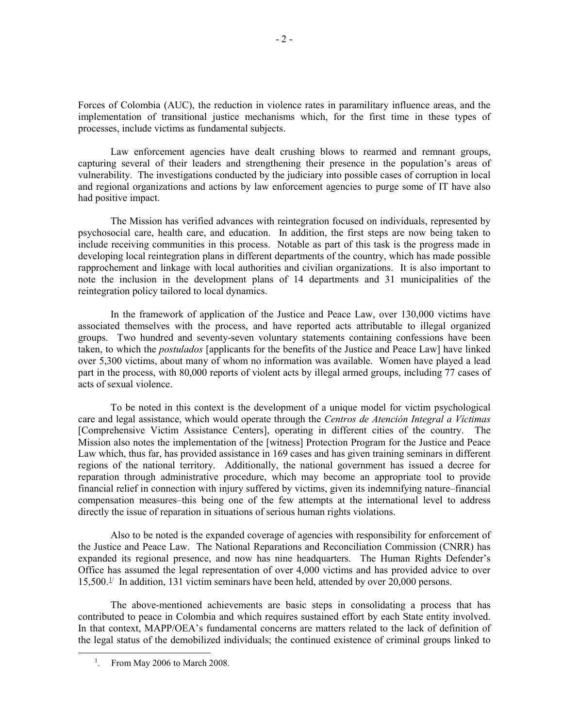Forces of Colombia (AUC), the reduction in violence rates in paramilitary influence areas, and the implementation of transitional justice mechanisms which, for the first time in these types of processes, include victims as fundamental subjects.

Law enforcement agencies have dealt crushing blows to rearmed and remnant groups, capturing several of their leaders and strengthening their presence in the population's areas of vulnerability. The investigations conducted by the judiciary into possible cases of corruption in local and regional organizations and actions by law enforcement agencies to purge some of IT have also had positive impact.

The Mission has verified advances with reintegration focused on individuals, represented by psychosocial care, health care, and education. In addition, the first steps are now being taken to include receiving communities in this process. Notable as part of this task is the progress made in developing local reintegration plans in different departments of the country, which has made possible rapprochement and linkage with local authorities and civilian organizations. It is also important to note the inclusion in the development plans of 14 departments and 31 municipalities of the reintegration policy tailored to local dynamics.

In the framework of application of the Justice and Peace Law, over 130,000 victims have associated themselves with the process, and have reported acts attributable to illegal organized groups. Two hundred and seventy-seven voluntary statements containing confessions have been taken, to which the *postulados* [applicants for the benefits of the Justice and Peace Law] have linked over 5,300 victims, about many of whom no information was available. Women have played a lead part in the process, with 80,000 reports of violent acts by illegal armed groups, including 77 cases of acts of sexual violence.

To be noted in this context is the development of a unique model for victim psychological care and legal assistance, which would operate through the *Centros de Atención Integral a Víctimas*  [Comprehensive Victim Assistance Centers], operating in different cities of the country. The Mission also notes the implementation of the [witness] Protection Program for the Justice and Peace Law which, thus far, has provided assistance in 169 cases and has given training seminars in different regions of the national territory. Additionally, the national government has issued a decree for reparation through administrative procedure, which may become an appropriate tool to provide financial relief in connection with injury suffered by victims, given its indemnifying nature–financial compensation measures–this being one of the few attempts at the international level to address directly the issue of reparation in situations of serious human rights violations.

Also to be noted is the expanded coverage of agencies with responsibility for enforcement of the Justice and Peace Law. The National Reparations and Reconciliation Commission (CNRR) has expanded its regional presence, and now has nine headquarters. The Human Rights Defender's Office has assumed the legal representation of over 4,000 victims and has provided advice to over 15,500. $1/2$  In addition, 131 victim seminars have been held, attended by over 20,000 persons.

The above-mentioned achievements are basic steps in consolidating a process that has contributed to peace in Colombia and which requires sustained effort by each State entity involved. In that context, MAPP/OEA's fundamental concerns are matters related to the lack of definition of the legal status of the demobilized individuals; the continued existence of criminal groups linked to

<span id="page-2-0"></span> <sup>1</sup> . From May 2006 to March 2008.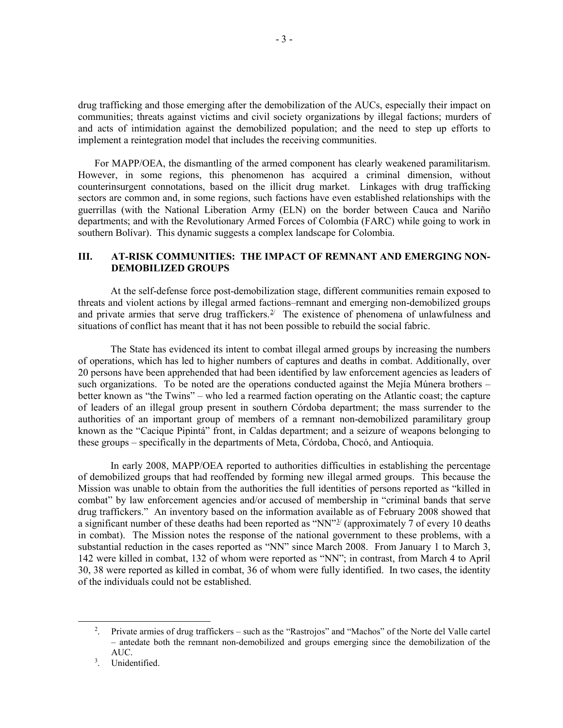drug trafficking and those emerging after the demobilization of the AUCs, especially their impact on communities; threats against victims and civil society organizations by illegal factions; murders of and acts of intimidation against the demobilized population; and the need to step up efforts to implement a reintegration model that includes the receiving communities.

For MAPP/OEA, the dismantling of the armed component has clearly weakened paramilitarism. However, in some regions, this phenomenon has acquired a criminal dimension, without counterinsurgent connotations, based on the illicit drug market. Linkages with drug trafficking sectors are common and, in some regions, such factions have even established relationships with the guerrillas (with the National Liberation Army (ELN) on the border between Cauca and Nariño departments; and with the Revolutionary Armed Forces of Colombia (FARC) while going to work in southern Bolívar). This dynamic suggests a complex landscape for Colombia.

# **III. AT-RISK COMMUNITIES: THE IMPACT OF REMNANT AND EMERGING NON-DEMOBILIZED GROUPS**

At the self-defense force post-demobilization stage, different communities remain exposed to threats and violent actions by illegal armed factions–remnant and emerging non-demobilized groups and private armies that serve drug traffickers.<sup>[2](#page-3-0)/</sup> The existence of phenomena of unlawfulness and situations of conflict has meant that it has not been possible to rebuild the social fabric.

The State has evidenced its intent to combat illegal armed groups by increasing the numbers of operations, which has led to higher numbers of captures and deaths in combat. Additionally, over 20 persons have been apprehended that had been identified by law enforcement agencies as leaders of such organizations. To be noted are the operations conducted against the Mejía Múnera brothers – better known as "the Twins" – who led a rearmed faction operating on the Atlantic coast; the capture of leaders of an illegal group present in southern Córdoba department; the mass surrender to the authorities of an important group of members of a remnant non-demobilized paramilitary group known as the "Cacique Pipintá" front, in Caldas department; and a seizure of weapons belonging to these groups – specifically in the departments of Meta, Córdoba, Chocó, and Antioquia.

In early 2008, MAPP/OEA reported to authorities difficulties in establishing the percentage of demobilized groups that had reoffended by forming new illegal armed groups. This because the Mission was unable to obtain from the authorities the full identities of persons reported as "killed in combat" by law enforcement agencies and/or accused of membership in "criminal bands that serve drug traffickers." An inventory based on the information available as of February 2008 showed that a significant number of these deaths had been reported as "NN" $\frac{3}{2}$  (approximately 7 of every 10 deaths in combat). The Mission notes the response of the national government to these problems, with a substantial reduction in the cases reported as "NN" since March 2008. From January 1 to March 3, 142 were killed in combat, 132 of whom were reported as "NN"; in contrast, from March 4 to April 30, 38 were reported as killed in combat, 36 of whom were fully identified. In two cases, the identity of the individuals could not be established.

<span id="page-3-1"></span><span id="page-3-0"></span> $\overline{\phantom{a}}$ . Private armies of drug traffickers – such as the "Rastrojos" and "Machos" of the Norte del Valle cartel – antedate both the remnant non-demobilized and groups emerging since the demobilization of the

AUC.<br><sup>3</sup>. Unidentified.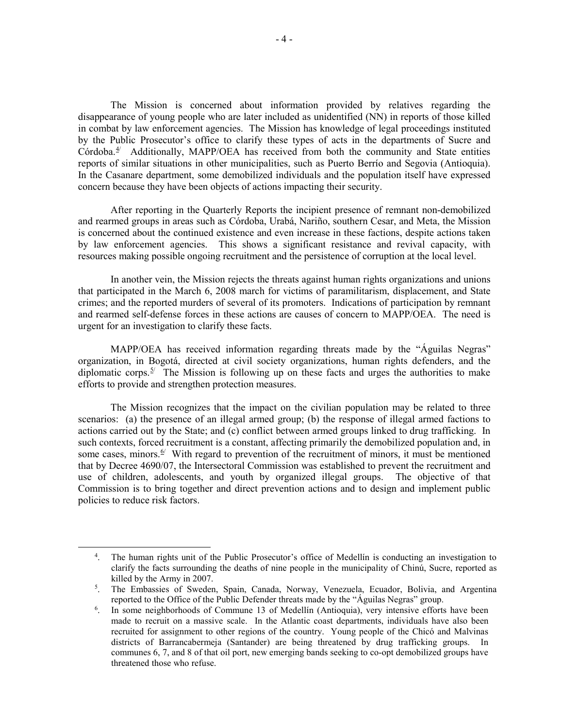The Mission is concerned about information provided by relatives regarding the disappearance of young people who are later included as unidentified (NN) in reports of those killed in combat by law enforcement agencies. The Mission has knowledge of legal proceedings instituted by the Public Prosecutor's office to clarify these types of acts in the departments of Sucre and Córdoba. $4'$  Additionally, MAPP/OEA has received from both the community and State entities reports of similar situations in other municipalities, such as Puerto Berrío and Segovia (Antioquia). In the Casanare department, some demobilized individuals and the population itself have expressed concern because they have been objects of actions impacting their security.

After reporting in the Quarterly Reports the incipient presence of remnant non-demobilized and rearmed groups in areas such as Córdoba, Urabá, Nariño, southern Cesar, and Meta, the Mission is concerned about the continued existence and even increase in these factions, despite actions taken by law enforcement agencies. This shows a significant resistance and revival capacity, with resources making possible ongoing recruitment and the persistence of corruption at the local level.

In another vein, the Mission rejects the threats against human rights organizations and unions that participated in the March 6, 2008 march for victims of paramilitarism, displacement, and State crimes; and the reported murders of several of its promoters. Indications of participation by remnant and rearmed self-defense forces in these actions are causes of concern to MAPP/OEA. The need is urgent for an investigation to clarify these facts.

MAPP/OEA has received information regarding threats made by the "Águilas Negras" organization, in Bogotá, directed at civil society organizations, human rights defenders, and the diplomatic corps.<sup>[5/](#page-4-1)</sup> The Mission is following up on these facts and urges the authorities to make efforts to provide and strengthen protection measures.

The Mission recognizes that the impact on the civilian population may be related to three scenarios: (a) the presence of an illegal armed group; (b) the response of illegal armed factions to actions carried out by the State; and (c) conflict between armed groups linked to drug trafficking. In such contexts, forced recruitment is a constant, affecting primarily the demobilized population and, in some cases, minors. $\frac{6}{1}$  $\frac{6}{1}$  $\frac{6}{1}$  With regard to prevention of the recruitment of minors, it must be mentioned that by Decree 4690/07, the Intersectoral Commission was established to prevent the recruitment and use of children, adolescents, and youth by organized illegal groups. The objective of that Commission is to bring together and direct prevention actions and to design and implement public policies to reduce risk factors.

<span id="page-4-1"></span><span id="page-4-0"></span> $\frac{1}{4}$ . The human rights unit of the Public Prosecutor's office of Medellín is conducting an investigation to clarify the facts surrounding the deaths of nine people in the municipality of Chinú, Sucre, reported as killed by the Army in 2007.

<sup>&</sup>lt;sup>5</sup>. The Embassies of Sweden, Spain, Canada, Norway, Venezuela, Ecuador, Bolivia, and Argentina reported to the Office of the Public Defender threats made by the "Águilas Negras" group.

<span id="page-4-2"></span><sup>6</sup> . In some neighborhoods of Commune 13 of Medellín (Antioquia), very intensive efforts have been made to recruit on a massive scale. In the Atlantic coast departments, individuals have also been recruited for assignment to other regions of the country. Young people of the Chicó and Malvinas districts of Barrancabermeja (Santander) are being threatened by drug trafficking groups. In communes 6, 7, and 8 of that oil port, new emerging bands seeking to co-opt demobilized groups have threatened those who refuse.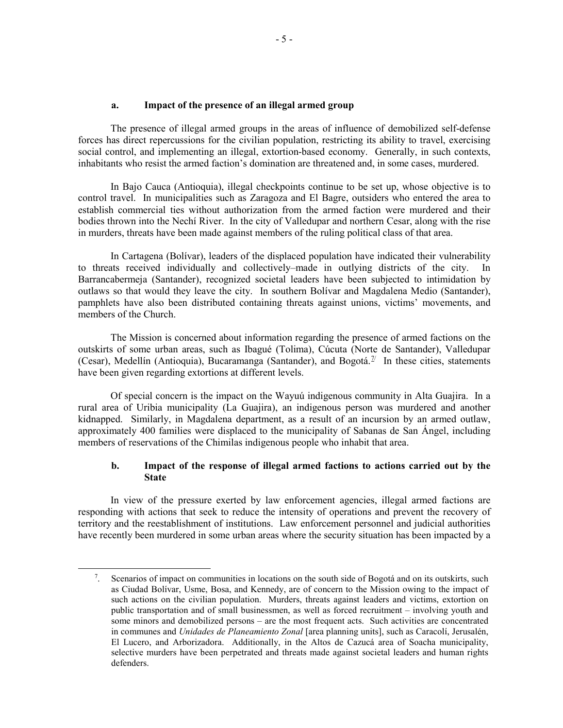#### **a. Impact of the presence of an illegal armed group**

The presence of illegal armed groups in the areas of influence of demobilized self-defense forces has direct repercussions for the civilian population, restricting its ability to travel, exercising social control, and implementing an illegal, extortion-based economy. Generally, in such contexts, inhabitants who resist the armed faction's domination are threatened and, in some cases, murdered.

In Bajo Cauca (Antioquia), illegal checkpoints continue to be set up, whose objective is to control travel. In municipalities such as Zaragoza and El Bagre, outsiders who entered the area to establish commercial ties without authorization from the armed faction were murdered and their bodies thrown into the Nechí River. In the city of Valledupar and northern Cesar, along with the rise in murders, threats have been made against members of the ruling political class of that area.

In Cartagena (Bolívar), leaders of the displaced population have indicated their vulnerability to threats received individually and collectively–made in outlying districts of the city. In Barrancabermeja (Santander), recognized societal leaders have been subjected to intimidation by outlaws so that would they leave the city. In southern Bolívar and Magdalena Medio (Santander), pamphlets have also been distributed containing threats against unions, victims' movements, and members of the Church.

The Mission is concerned about information regarding the presence of armed factions on the outskirts of some urban areas, such as Ibagué (Tolima), Cúcuta (Norte de Santander), Valledupar (Cesar), Medellín (Antioquia), Bucaramanga (Santander), and Bogotá. $1/2$  In these cities, statements have been given regarding extortions at different levels.

Of special concern is the impact on the Wayuú indigenous community in Alta Guajira. In a rural area of Uribia municipality (La Guajira), an indigenous person was murdered and another kidnapped. Similarly, in Magdalena department, as a result of an incursion by an armed outlaw, approximately 400 families were displaced to the municipality of Sabanas de San Ángel, including members of reservations of the Chimilas indigenous people who inhabit that area.

# **b. Impact of the response of illegal armed factions to actions carried out by the State**

In view of the pressure exerted by law enforcement agencies, illegal armed factions are responding with actions that seek to reduce the intensity of operations and prevent the recovery of territory and the reestablishment of institutions. Law enforcement personnel and judicial authorities have recently been murdered in some urban areas where the security situation has been impacted by a

<span id="page-5-0"></span> $\frac{1}{7}$ <sup>7</sup>. Scenarios of impact on communities in locations on the south side of Bogotá and on its outskirts, such as Ciudad Bolívar, Usme, Bosa, and Kennedy, are of concern to the Mission owing to the impact of such actions on the civilian population. Murders, threats against leaders and victims, extortion on public transportation and of small businessmen, as well as forced recruitment – involving youth and some minors and demobilized persons – are the most frequent acts. Such activities are concentrated in communes and *Unidades de Planeamiento Zonal* [area planning units], such as Caracolí, Jerusalén, El Lucero, and Arborizadora. Additionally, in the Altos de Cazucá area of Soacha municipality, selective murders have been perpetrated and threats made against societal leaders and human rights defenders.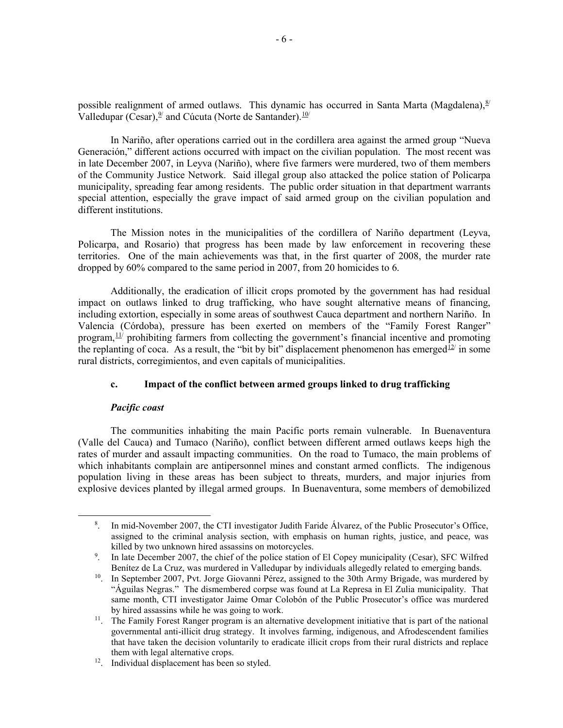possible realignment of armed outlaws. This dynamic has occurred in Santa Marta (Magdalena),  $\frac{8}{3}$  $\frac{8}{3}$  $\frac{8}{3}$ Valledupar (Cesar),  $9/$  and Cúcuta (Norte de Santander).  $10/$ 

In Nariño, after operations carried out in the cordillera area against the armed group "Nueva Generación," different actions occurred with impact on the civilian population. The most recent was in late December 2007, in Leyva (Nariño), where five farmers were murdered, two of them members of the Community Justice Network. Said illegal group also attacked the police station of Policarpa municipality, spreading fear among residents. The public order situation in that department warrants special attention, especially the grave impact of said armed group on the civilian population and different institutions.

The Mission notes in the municipalities of the cordillera of Nariño department (Leyva, Policarpa, and Rosario) that progress has been made by law enforcement in recovering these territories. One of the main achievements was that, in the first quarter of 2008, the murder rate dropped by 60% compared to the same period in 2007, from 20 homicides to 6.

Additionally, the eradication of illicit crops promoted by the government has had residual impact on outlaws linked to drug trafficking, who have sought alternative means of financing, including extortion, especially in some areas of southwest Cauca department and northern Nariño. In Valencia (Córdoba), pressure has been exerted on members of the "Family Forest Ranger" program,  $11/$  $11/$  prohibiting farmers from collecting the government's financial incentive and promoting the replanting of coca. As a result, the "bit by bit" displacement phenomenon has emerged $\frac{12}{2}$  $\frac{12}{2}$  $\frac{12}{2}$  in some rural districts, corregimientos, and even capitals of municipalities.

# **c. Impact of the conflict between armed groups linked to drug trafficking**

### *Pacific coast*

The communities inhabiting the main Pacific ports remain vulnerable. In Buenaventura (Valle del Cauca) and Tumaco (Nariño), conflict between different armed outlaws keeps high the rates of murder and assault impacting communities. On the road to Tumaco, the main problems of which inhabitants complain are antipersonnel mines and constant armed conflicts. The indigenous population living in these areas has been subject to threats, murders, and major injuries from explosive devices planted by illegal armed groups. In Buenaventura, some members of demobilized

<span id="page-6-1"></span><span id="page-6-0"></span> <sup>8</sup> <sup>8</sup>. In mid-November 2007, the CTI investigator Judith Faride Álvarez, of the Public Prosecutor's Office, assigned to the criminal analysis section, with emphasis on human rights, justice, and peace, was killed by two unknown hired assassins on motorcycles.

<sup>9</sup> . In late December 2007, the chief of the police station of El Copey municipality (Cesar), SFC Wilfred Benítez de La Cruz, was murdered in Valledupar by individuals allegedly related to emerging bands.

<span id="page-6-2"></span><sup>&</sup>lt;sup>10</sup>. In September 2007, Pvt. Jorge Giovanni Pérez, assigned to the 30th Army Brigade, was murdered by "Águilas Negras." The dismembered corpse was found at La Represa in El Zulia municipality. That same month, CTI investigator Jaime Omar Colobón of the Public Prosecutor's office was murdered by hired assassins while he was going to work.<br><sup>11</sup>. The Family Forest Ranger program is an alternative development initiative that is part of the national

<span id="page-6-3"></span>governmental anti-illicit drug strategy. It involves farming, indigenous, and Afrodescendent families that have taken the decision voluntarily to eradicate illicit crops from their rural districts and replace them with legal alternative crops.

<span id="page-6-4"></span><sup>&</sup>lt;sup>12</sup>. Individual displacement has been so styled.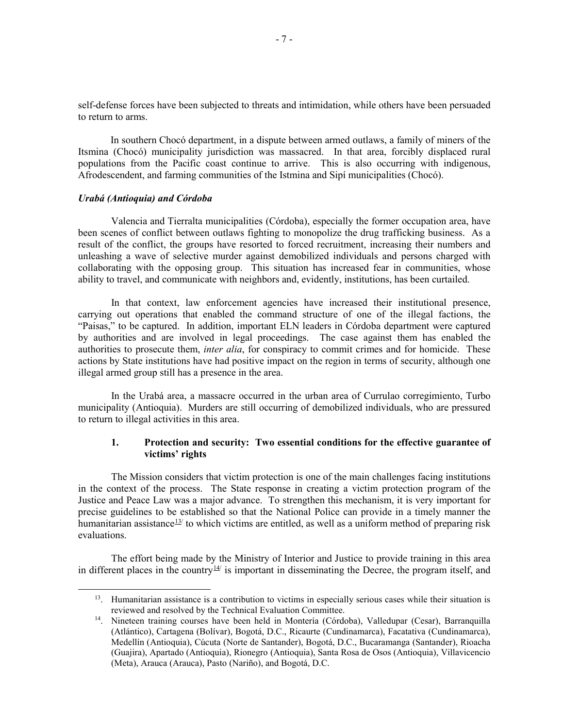self-defense forces have been subjected to threats and intimidation, while others have been persuaded to return to arms.

In southern Chocó department, in a dispute between armed outlaws, a family of miners of the Itsmina (Chocó) municipality jurisdiction was massacred. In that area, forcibly displaced rural populations from the Pacific coast continue to arrive. This is also occurring with indigenous, Afrodescendent, and farming communities of the Istmina and Sipí municipalities (Chocó).

#### *Urabá (Antioquia) and Córdoba*

Valencia and Tierralta municipalities (Córdoba), especially the former occupation area, have been scenes of conflict between outlaws fighting to monopolize the drug trafficking business. As a result of the conflict, the groups have resorted to forced recruitment, increasing their numbers and unleashing a wave of selective murder against demobilized individuals and persons charged with collaborating with the opposing group. This situation has increased fear in communities, whose ability to travel, and communicate with neighbors and, evidently, institutions, has been curtailed.

In that context, law enforcement agencies have increased their institutional presence, carrying out operations that enabled the command structure of one of the illegal factions, the "Paisas," to be captured. In addition, important ELN leaders in Córdoba department were captured by authorities and are involved in legal proceedings. The case against them has enabled the authorities to prosecute them, *inter alia*, for conspiracy to commit crimes and for homicide. These actions by State institutions have had positive impact on the region in terms of security, although one illegal armed group still has a presence in the area.

In the Urabá area, a massacre occurred in the urban area of Currulao corregimiento, Turbo municipality (Antioquia). Murders are still occurring of demobilized individuals, who are pressured to return to illegal activities in this area.

### **1. Protection and security: Two essential conditions for the effective guarantee of victims' rights**

The Mission considers that victim protection is one of the main challenges facing institutions in the context of the process. The State response in creating a victim protection program of the Justice and Peace Law was a major advance. To strengthen this mechanism, it is very important for precise guidelines to be established so that the National Police can provide in a timely manner the humanitarian assistance<sup>[13](#page-7-0)/</sup> to which victims are entitled, as well as a uniform method of preparing risk evaluations.

<span id="page-7-0"></span>The effort being made by the Ministry of Interior and Justice to provide training in this area in different places in the country<sup>[14](#page-7-1)/</sup> is important in disseminating the Decree, the program itself, and

<sup>&</sup>lt;sup>13</sup>. Humanitarian assistance is a contribution to victims in especially serious cases while their situation is

<span id="page-7-1"></span>reviewed and resolved by the Technical Evaluation Committee. 14. Nineteen training courses have been held in Montería (Córdoba), Valledupar (Cesar), Barranquilla (Atlántico), Cartagena (Bolívar), Bogotá, D.C., Ricaurte (Cundinamarca), Facatativa (Cundinamarca), Medellín (Antioquia), Cúcuta (Norte de Santander), Bogotá, D.C., Bucaramanga (Santander), Rioacha (Guajira), Apartado (Antioquia), Rionegro (Antioquia), Santa Rosa de Osos (Antioquia), Villavicencio (Meta), Arauca (Arauca), Pasto (Nariño), and Bogotá, D.C.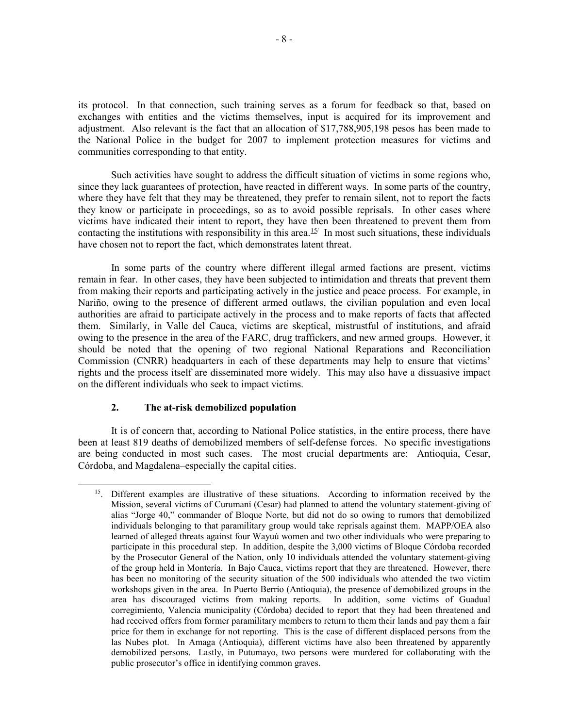its protocol. In that connection, such training serves as a forum for feedback so that, based on exchanges with entities and the victims themselves, input is acquired for its improvement and adjustment. Also relevant is the fact that an allocation of \$17,788,905,198 pesos has been made to the National Police in the budget for 2007 to implement protection measures for victims and communities corresponding to that entity.

Such activities have sought to address the difficult situation of victims in some regions who, since they lack guarantees of protection, have reacted in different ways. In some parts of the country, where they have felt that they may be threatened, they prefer to remain silent, not to report the facts they know or participate in proceedings, so as to avoid possible reprisals. In other cases where victims have indicated their intent to report, they have then been threatened to prevent them from contacting the institutions with responsibility in this area. $15/$  $15/$  In most such situations, these individuals have chosen not to report the fact, which demonstrates latent threat.

In some parts of the country where different illegal armed factions are present, victims remain in fear. In other cases, they have been subjected to intimidation and threats that prevent them from making their reports and participating actively in the justice and peace process. For example, in Nariño, owing to the presence of different armed outlaws, the civilian population and even local authorities are afraid to participate actively in the process and to make reports of facts that affected them. Similarly, in Valle del Cauca, victims are skeptical, mistrustful of institutions, and afraid owing to the presence in the area of the FARC, drug traffickers, and new armed groups. However, it should be noted that the opening of two regional National Reparations and Reconciliation Commission (CNRR) headquarters in each of these departments may help to ensure that victims' rights and the process itself are disseminated more widely. This may also have a dissuasive impact on the different individuals who seek to impact victims.

# **2. The at-risk demobilized population**

It is of concern that, according to National Police statistics, in the entire process, there have been at least 819 deaths of demobilized members of self-defense forces. No specific investigations are being conducted in most such cases. The most crucial departments are: Antioquia, Cesar, Córdoba, and Magdalena–especially the capital cities.

<span id="page-8-0"></span><sup>&</sup>lt;sup>15</sup>. Different examples are illustrative of these situations. According to information received by the Mission, several victims of Curumaní (Cesar) had planned to attend the voluntary statement-giving of alias "Jorge 40," commander of Bloque Norte, but did not do so owing to rumors that demobilized individuals belonging to that paramilitary group would take reprisals against them. MAPP/OEA also learned of alleged threats against four Wayuú women and two other individuals who were preparing to participate in this procedural step. In addition, despite the 3,000 victims of Bloque Córdoba recorded by the Prosecutor General of the Nation, only 10 individuals attended the voluntary statement-giving of the group held in Montería. In Bajo Cauca, victims report that they are threatened. However, there has been no monitoring of the security situation of the 500 individuals who attended the two victim workshops given in the area. In Puerto Berrío (Antioquia), the presence of demobilized groups in the area has discouraged victims from making reports. In addition, some victims of Guadual corregimiento*,* Valencia municipality (Córdoba) decided to report that they had been threatened and had received offers from former paramilitary members to return to them their lands and pay them a fair price for them in exchange for not reporting. This is the case of different displaced persons from the las Nubes plot. In Amaga (Antioquia), different victims have also been threatened by apparently demobilized persons. Lastly, in Putumayo, two persons were murdered for collaborating with the public prosecutor's office in identifying common graves.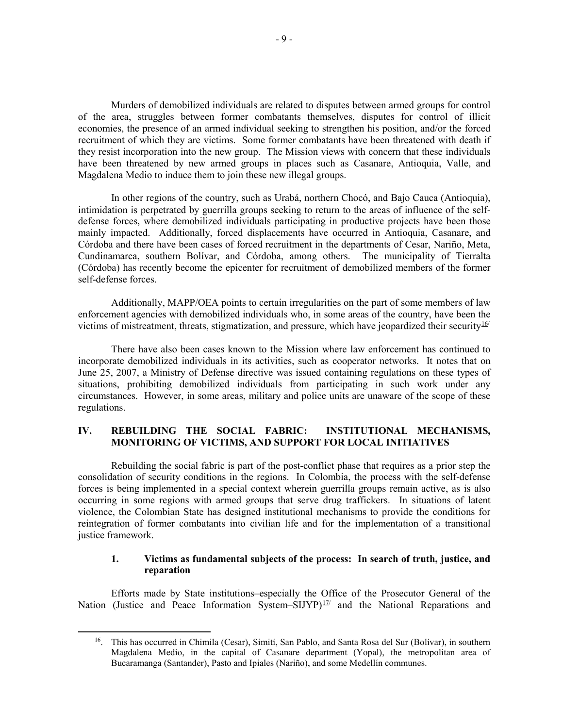Murders of demobilized individuals are related to disputes between armed groups for control of the area, struggles between former combatants themselves, disputes for control of illicit economies, the presence of an armed individual seeking to strengthen his position, and/or the forced recruitment of which they are victims. Some former combatants have been threatened with death if they resist incorporation into the new group. The Mission views with concern that these individuals have been threatened by new armed groups in places such as Casanare, Antioquia, Valle, and Magdalena Medio to induce them to join these new illegal groups.

In other regions of the country, such as Urabá, northern Chocó, and Bajo Cauca (Antioquia), intimidation is perpetrated by guerrilla groups seeking to return to the areas of influence of the selfdefense forces, where demobilized individuals participating in productive projects have been those mainly impacted. Additionally, forced displacements have occurred in Antioquia, Casanare, and Córdoba and there have been cases of forced recruitment in the departments of Cesar, Nariño, Meta, Cundinamarca, southern Bolívar, and Córdoba, among others. The municipality of Tierralta (Córdoba) has recently become the epicenter for recruitment of demobilized members of the former self-defense forces.

Additionally, MAPP/OEA points to certain irregularities on the part of some members of law enforcement agencies with demobilized individuals who, in some areas of the country, have been the victims of mistreatment, threats, stigmatization, and pressure, which have jeopardized their security $16/$ 

There have also been cases known to the Mission where law enforcement has continued to incorporate demobilized individuals in its activities, such as cooperator networks. It notes that on June 25, 2007, a Ministry of Defense directive was issued containing regulations on these types of situations, prohibiting demobilized individuals from participating in such work under any circumstances. However, in some areas, military and police units are unaware of the scope of these regulations.

# **IV. REBUILDING THE SOCIAL FABRIC: INSTITUTIONAL MECHANISMS, MONITORING OF VICTIMS, AND SUPPORT FOR LOCAL INITIATIVES**

<span id="page-9-1"></span>Rebuilding the social fabric is part of the post-conflict phase that requires as a prior step the consolidation of security conditions in the regions. In Colombia, the process with the self-defense forces is being implemented in a special context wherein guerrilla groups remain active, as is also occurring in some regions with armed groups that serve drug traffickers. In situations of latent violence, the Colombian State has designed institutional mechanisms to provide the conditions for reintegration of former combatants into civilian life and for the implementation of a transitional justice framework.

# **1. Victims as fundamental subjects of the process: In search of truth, justice, and reparation**

<span id="page-9-0"></span>Efforts made by State institutions–especially the Office of the Prosecutor General of the Nation (Justice and Peace Information System–SIJYP)<sup>[17/](#page-9-1)</sup> and the National Reparations and

<sup>&</sup>lt;sup>16</sup>. This has occurred in Chimila (Cesar), Simití, San Pablo, and Santa Rosa del Sur (Bolívar), in southern Magdalena Medio, in the capital of Casanare department (Yopal), the metropolitan area of Bucaramanga (Santander), Pasto and Ipiales (Nariño), and some Medellín communes.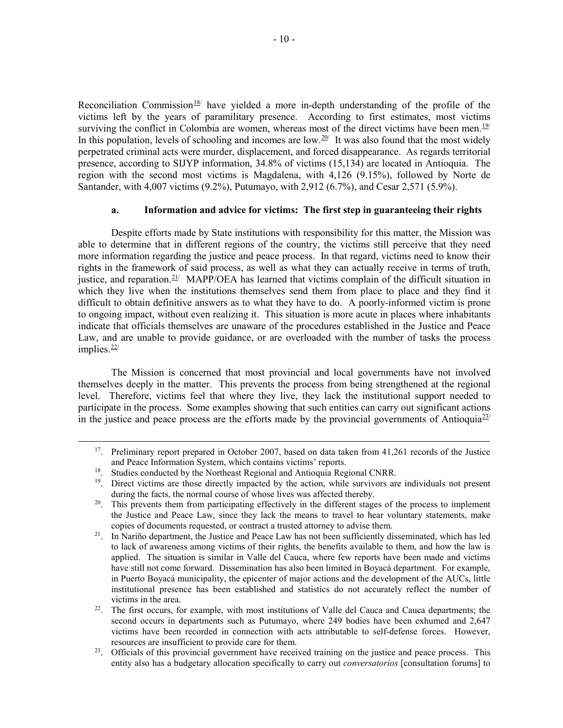Reconciliation Commission<sup>[18/](#page-10-0)</sup> have yielded a more in-depth understanding of the profile of the victims left by the years of paramilitary presence. According to first estimates, most victims surviving the conflict in Colombia are women, whereas most of the direct victims have been men.<sup>[19](#page-10-1)/</sup> In this population, levels of schooling and incomes are low.<sup>[20/](#page-10-2)</sup> It was also found that the most widely perpetrated criminal acts were murder, displacement, and forced disappearance. As regards territorial presence, according to SIJYP information, 34.8% of victims (15,134) are located in Antioquia. The region with the second most victims is Magdalena, with 4,126 (9.15%), followed by Norte de Santander, with 4,007 victims (9.2%), Putumayo, with 2,912 (6.7%), and Cesar 2,571 (5.9%).

# **a. Information and advice for victims: The first step in guaranteeing their rights**

Despite efforts made by State institutions with responsibility for this matter, the Mission was able to determine that in different regions of the country, the victims still perceive that they need more information regarding the justice and peace process. In that regard, victims need to know their rights in the framework of said process, as well as what they can actually receive in terms of truth, justice, and reparation.<sup>[21/](#page-10-3)</sup> MAPP/OEA has learned that victims complain of the difficult situation in which they live when the institutions themselves send them from place to place and they find it difficult to obtain definitive answers as to what they have to do. A poorly-informed victim is prone to ongoing impact, without even realizing it. This situation is more acute in places where inhabitants indicate that officials themselves are unaware of the procedures established in the Justice and Peace Law, and are unable to provide guidance, or are overloaded with the number of tasks the process implies. $\frac{22}{ }$ 

The Mission is concerned that most provincial and local governments have not involved themselves deeply in the matter. This prevents the process from being strengthened at the regional level. Therefore, victims feel that where they live, they lack the institutional support needed to participate in the process. Some examples showing that such entities can carry out significant actions in the justice and peace process are the efforts made by the provincial governments of Antioquia<sup>[23/](#page-10-5)</sup>

<sup>&</sup>lt;sup>17</sup>. Preliminary report prepared in October 2007, based on data taken from 41,261 records of the Justice and Peace Information System, which contains victims' reports.<br><sup>18</sup>. Studies conducted by the Northeast Regional and Antioquia Regional CNRR.

<span id="page-10-1"></span><span id="page-10-0"></span><sup>&</sup>lt;sup>19</sup>. Direct victims are those directly impacted by the action, while survivors are individuals not present during the facts, the normal course of whose lives was affected thereby.

<span id="page-10-2"></span><sup>&</sup>lt;sup>20</sup>. This prevents them from participating effectively in the different stages of the process to implement the Justice and Peace Law, since they lack the means to travel to hear voluntary statements, make copies of documents requested, or contract a trusted attorney to advise them.

<span id="page-10-3"></span><sup>&</sup>lt;sup>21</sup>. In Nariño department, the Justice and Peace Law has not been sufficiently disseminated, which has led to lack of awareness among victims of their rights, the benefits available to them, and how the law is applied. The situation is similar in Valle del Cauca, where few reports have been made and victims have still not come forward. Dissemination has also been limited in Boyacá department. For example, in Puerto Boyacá municipality, the epicenter of major actions and the development of the AUCs, little institutional presence has been established and statistics do not accurately reflect the number of victims in the area.

<span id="page-10-4"></span><sup>&</sup>lt;sup>22</sup>. The first occurs, for example, with most institutions of Valle del Cauca and Cauca departments; the second occurs in departments such as Putumayo, where 249 bodies have been exhumed and 2,647 victims have been recorded in connection with acts attributable to self-defense forces. However, resources are insufficient to provide care for them.

<span id="page-10-5"></span><sup>&</sup>lt;sup>23</sup>. Officials of this provincial government have received training on the justice and peace process. This entity also has a budgetary allocation specifically to carry out *conversatorios* [consultation forums] to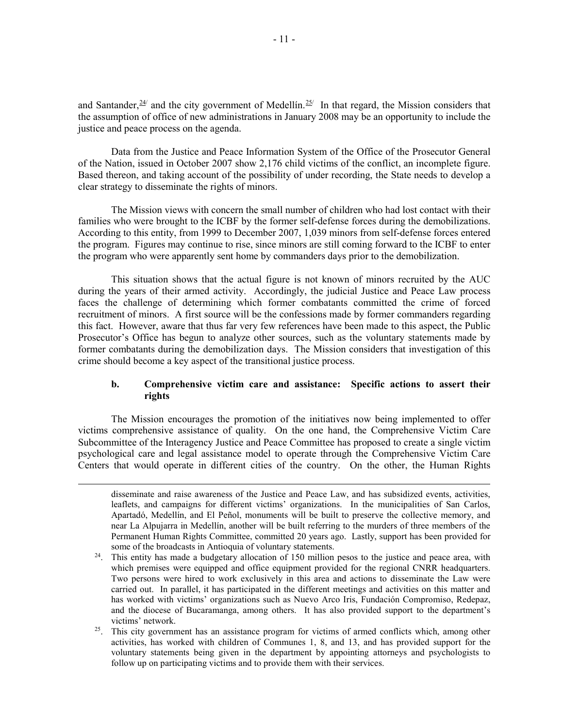and Santander,  $\frac{24}{1}$  and the city government of Medellín.  $\frac{25}{1}$  $\frac{25}{1}$  $\frac{25}{1}$  In that regard, the Mission considers that the assumption of office of new administrations in January 2008 may be an opportunity to include the justice and peace process on the agenda.

Data from the Justice and Peace Information System of the Office of the Prosecutor General of the Nation, issued in October 2007 show 2,176 child victims of the conflict, an incomplete figure. Based thereon, and taking account of the possibility of under recording, the State needs to develop a clear strategy to disseminate the rights of minors.

The Mission views with concern the small number of children who had lost contact with their families who were brought to the ICBF by the former self-defense forces during the demobilizations. According to this entity, from 1999 to December 2007, 1,039 minors from self-defense forces entered the program. Figures may continue to rise, since minors are still coming forward to the ICBF to enter the program who were apparently sent home by commanders days prior to the demobilization.

This situation shows that the actual figure is not known of minors recruited by the AUC during the years of their armed activity. Accordingly, the judicial Justice and Peace Law process faces the challenge of determining which former combatants committed the crime of forced recruitment of minors. A first source will be the confessions made by former commanders regarding this fact. However, aware that thus far very few references have been made to this aspect, the Public Prosecutor's Office has begun to analyze other sources, such as the voluntary statements made by former combatants during the demobilization days. The Mission considers that investigation of this crime should become a key aspect of the transitional justice process.

# **b. Comprehensive victim care and assistance: Specific actions to assert their rights**

The Mission encourages the promotion of the initiatives now being implemented to offer victims comprehensive assistance of quality. On the one hand, the Comprehensive Victim Care Subcommittee of the Interagency Justice and Peace Committee has proposed to create a single victim psychological care and legal assistance model to operate through the Comprehensive Victim Care Centers that would operate in different cities of the country. On the other, the Human Rights

 $\overline{a}$ 

disseminate and raise awareness of the Justice and Peace Law, and has subsidized events, activities, leaflets, and campaigns for different victims' organizations. In the municipalities of San Carlos, Apartadó, Medellín, and El Peñol, monuments will be built to preserve the collective memory, and near La Alpujarra in Medellín, another will be built referring to the murders of three members of the Permanent Human Rights Committee, committed 20 years ago. Lastly, support has been provided for some of the broadcasts in Antioquia of voluntary statements.

<span id="page-11-0"></span><sup>&</sup>lt;sup>24</sup>. This entity has made a budgetary allocation of 150 million pesos to the justice and peace area, with which premises were equipped and office equipment provided for the regional CNRR headquarters. Two persons were hired to work exclusively in this area and actions to disseminate the Law were carried out. In parallel, it has participated in the different meetings and activities on this matter and has worked with victims' organizations such as Nuevo Arco Iris, Fundación Compromiso, Redepaz, and the diocese of Bucaramanga, among others. It has also provided support to the department's victims' network.

<span id="page-11-1"></span><sup>&</sup>lt;sup>25</sup>. This city government has an assistance program for victims of armed conflicts which, among other activities, has worked with children of Communes 1, 8, and 13, and has provided support for the voluntary statements being given in the department by appointing attorneys and psychologists to follow up on participating victims and to provide them with their services.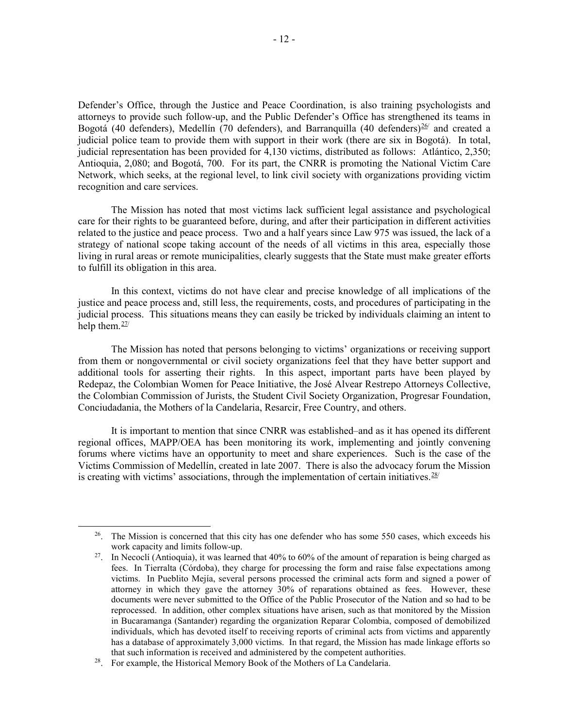Defender's Office, through the Justice and Peace Coordination, is also training psychologists and attorneys to provide such follow-up, and the Public Defender's Office has strengthened its teams in Bogotá (40 defenders), Medellín (70 defenders), and Barranquilla (40 defenders) $^{26}$  $^{26}$  $^{26}$  and created a judicial police team to provide them with support in their work (there are six in Bogotá). In total, judicial representation has been provided for 4,130 victims, distributed as follows: Atlántico, 2,350; Antioquia, 2,080; and Bogotá, 700. For its part, the CNRR is promoting the National Victim Care Network, which seeks, at the regional level, to link civil society with organizations providing victim recognition and care services.

The Mission has noted that most victims lack sufficient legal assistance and psychological care for their rights to be guaranteed before, during, and after their participation in different activities related to the justice and peace process. Two and a half years since Law 975 was issued, the lack of a strategy of national scope taking account of the needs of all victims in this area, especially those living in rural areas or remote municipalities, clearly suggests that the State must make greater efforts to fulfill its obligation in this area.

In this context, victims do not have clear and precise knowledge of all implications of the justice and peace process and, still less, the requirements, costs, and procedures of participating in the judicial process. This situations means they can easily be tricked by individuals claiming an intent to help them. $27/$ 

The Mission has noted that persons belonging to victims' organizations or receiving support from them or nongovernmental or civil society organizations feel that they have better support and additional tools for asserting their rights. In this aspect, important parts have been played by Redepaz, the Colombian Women for Peace Initiative, the José Alvear Restrepo Attorneys Collective, the Colombian Commission of Jurists, the Student Civil Society Organization, Progresar Foundation, Conciudadania, the Mothers of la Candelaria, Resarcir, Free Country, and others.

It is important to mention that since CNRR was established–and as it has opened its different regional offices, MAPP/OEA has been monitoring its work, implementing and jointly convening forums where victims have an opportunity to meet and share experiences. Such is the case of the Victims Commission of Medellín, created in late 2007. There is also the advocacy forum the Mission is creating with victims' associations, through the implementation of certain initiatives.  $28/$  $28/$ 

<span id="page-12-0"></span> $26$ . The Mission is concerned that this city has one defender who has some 550 cases, which exceeds his work capacity and limits follow-up.

<span id="page-12-1"></span><sup>&</sup>lt;sup>27</sup>. In Necoclí (Antioquia), it was learned that 40% to 60% of the amount of reparation is being charged as fees. In Tierralta (Córdoba), they charge for processing the form and raise false expectations among victims. In Pueblito Mejía, several persons processed the criminal acts form and signed a power of attorney in which they gave the attorney 30% of reparations obtained as fees. However, these documents were never submitted to the Office of the Public Prosecutor of the Nation and so had to be reprocessed. In addition, other complex situations have arisen, such as that monitored by the Mission in Bucaramanga (Santander) regarding the organization Reparar Colombia, composed of demobilized individuals, which has devoted itself to receiving reports of criminal acts from victims and apparently has a database of approximately 3,000 victims. In that regard, the Mission has made linkage efforts so that such information is received and administered by the competent authorities. 28. For example, the Historical Memory Book of the Mothers of La Candelaria.

<span id="page-12-2"></span>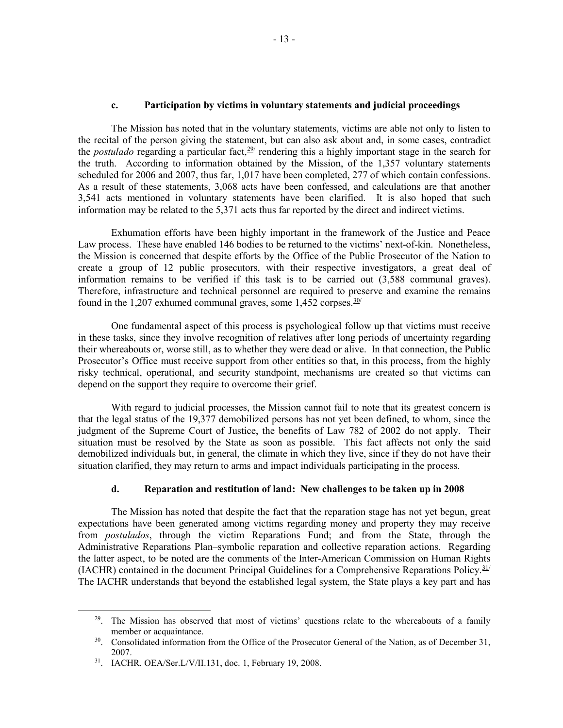### **c. Participation by victims in voluntary statements and judicial proceedings**

The Mission has noted that in the voluntary statements, victims are able not only to listen to the recital of the person giving the statement, but can also ask about and, in some cases, contradict the *postulado* regarding a particular fact, <sup>[29/](#page-13-0)</sup> rendering this a highly important stage in the search for the truth. According to information obtained by the Mission, of the 1,357 voluntary statements scheduled for 2006 and 2007, thus far, 1,017 have been completed, 277 of which contain confessions. As a result of these statements, 3,068 acts have been confessed, and calculations are that another 3,541 acts mentioned in voluntary statements have been clarified. It is also hoped that such information may be related to the 5,371 acts thus far reported by the direct and indirect victims.

Exhumation efforts have been highly important in the framework of the Justice and Peace Law process. These have enabled 146 bodies to be returned to the victims' next-of-kin. Nonetheless, the Mission is concerned that despite efforts by the Office of the Public Prosecutor of the Nation to create a group of 12 public prosecutors, with their respective investigators, a great deal of information remains to be verified if this task is to be carried out (3,588 communal graves). Therefore, infrastructure and technical personnel are required to preserve and examine the remains found in the 1,207 exhumed communal graves, some 1,452 corpses. $30/$ 

One fundamental aspect of this process is psychological follow up that victims must receive in these tasks, since they involve recognition of relatives after long periods of uncertainty regarding their whereabouts or, worse still, as to whether they were dead or alive. In that connection, the Public Prosecutor's Office must receive support from other entities so that, in this process, from the highly risky technical, operational, and security standpoint, mechanisms are created so that victims can depend on the support they require to overcome their grief.

With regard to judicial processes, the Mission cannot fail to note that its greatest concern is that the legal status of the 19,377 demobilized persons has not yet been defined, to whom, since the judgment of the Supreme Court of Justice, the benefits of Law 782 of 2002 do not apply. Their situation must be resolved by the State as soon as possible. This fact affects not only the said demobilized individuals but, in general, the climate in which they live, since if they do not have their situation clarified, they may return to arms and impact individuals participating in the process.

#### **d. Reparation and restitution of land: New challenges to be taken up in 2008**

The Mission has noted that despite the fact that the reparation stage has not yet begun, great expectations have been generated among victims regarding money and property they may receive from *postulados*, through the victim Reparations Fund; and from the State, through the Administrative Reparations Plan–symbolic reparation and collective reparation actions. Regarding the latter aspect, to be noted are the comments of the Inter-American Commission on Human Rights (IACHR) contained in the document Principal Guidelines for a Comprehensive Reparations Policy. $31/$ The IACHR understands that beyond the established legal system, the State plays a key part and has

<span id="page-13-0"></span><sup>&</sup>lt;sup>29</sup>. The Mission has observed that most of victims' questions relate to the whereabouts of a family member or acquaintance.

<span id="page-13-1"></span><sup>&</sup>lt;sup>30</sup>. Consolidated information from the Office of the Prosecutor General of the Nation, as of December 31, 2007.

<span id="page-13-2"></span><sup>31.</sup> IACHR. OEA/Ser.L/V/II.131, doc. 1, February 19, 2008.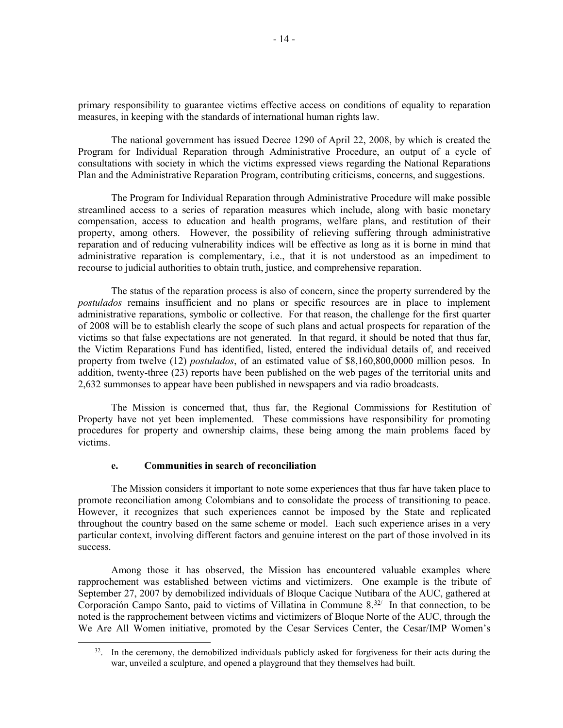primary responsibility to guarantee victims effective access on conditions of equality to reparation measures, in keeping with the standards of international human rights law.

The national government has issued Decree 1290 of April 22, 2008, by which is created the Program for Individual Reparation through Administrative Procedure, an output of a cycle of consultations with society in which the victims expressed views regarding the National Reparations Plan and the Administrative Reparation Program, contributing criticisms, concerns, and suggestions.

The Program for Individual Reparation through Administrative Procedure will make possible streamlined access to a series of reparation measures which include, along with basic monetary compensation, access to education and health programs, welfare plans, and restitution of their property, among others. However, the possibility of relieving suffering through administrative reparation and of reducing vulnerability indices will be effective as long as it is borne in mind that administrative reparation is complementary, i.e., that it is not understood as an impediment to recourse to judicial authorities to obtain truth, justice, and comprehensive reparation.

The status of the reparation process is also of concern, since the property surrendered by the *postulados* remains insufficient and no plans or specific resources are in place to implement administrative reparations, symbolic or collective. For that reason, the challenge for the first quarter of 2008 will be to establish clearly the scope of such plans and actual prospects for reparation of the victims so that false expectations are not generated. In that regard, it should be noted that thus far, the Victim Reparations Fund has identified, listed, entered the individual details of, and received property from twelve (12) *postulados*, of an estimated value of \$8,160,800,0000 million pesos. In addition, twenty-three (23) reports have been published on the web pages of the territorial units and 2,632 summonses to appear have been published in newspapers and via radio broadcasts.

The Mission is concerned that, thus far, the Regional Commissions for Restitution of Property have not yet been implemented. These commissions have responsibility for promoting procedures for property and ownership claims, these being among the main problems faced by victims.

### **e. Communities in search of reconciliation**

The Mission considers it important to note some experiences that thus far have taken place to promote reconciliation among Colombians and to consolidate the process of transitioning to peace. However, it recognizes that such experiences cannot be imposed by the State and replicated throughout the country based on the same scheme or model. Each such experience arises in a very particular context, involving different factors and genuine interest on the part of those involved in its success.

Among those it has observed, the Mission has encountered valuable examples where rapprochement was established between victims and victimizers. One example is the tribute of September 27, 2007 by demobilized individuals of Bloque Cacique Nutibara of the AUC, gathered at Corporación Campo Santo, paid to victims of Villatina in Commune  $8.32$  $8.32$ <sup>2</sup> In that connection, to be noted is the rapprochement between victims and victimizers of Bloque Norte of the AUC, through the We Are All Women initiative, promoted by the Cesar Services Center, the Cesar/IMP Women's

<span id="page-14-0"></span><sup>&</sup>lt;sup>32</sup>. In the ceremony, the demobilized individuals publicly asked for forgiveness for their acts during the war, unveiled a sculpture, and opened a playground that they themselves had built.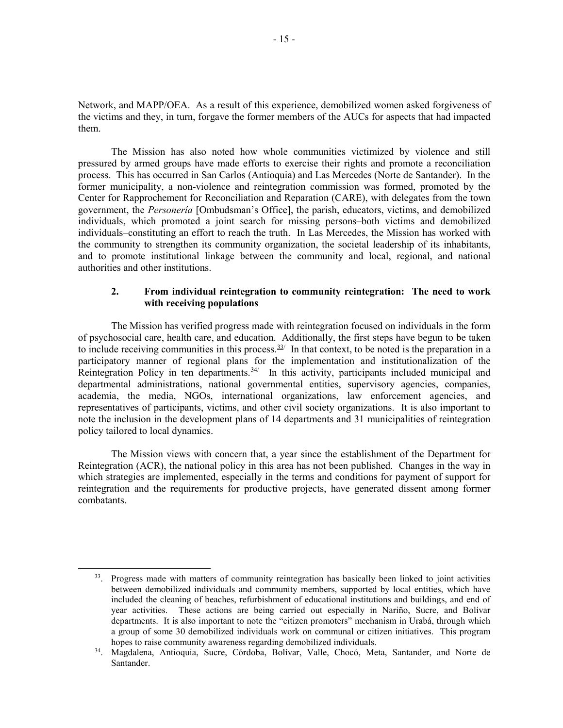Network, and MAPP/OEA. As a result of this experience, demobilized women asked forgiveness of the victims and they, in turn, forgave the former members of the AUCs for aspects that had impacted them.

The Mission has also noted how whole communities victimized by violence and still pressured by armed groups have made efforts to exercise their rights and promote a reconciliation process. This has occurred in San Carlos (Antioquia) and Las Mercedes (Norte de Santander). In the former municipality, a non-violence and reintegration commission was formed, promoted by the Center for Rapprochement for Reconciliation and Reparation (CARE), with delegates from the town government, the *Personería* [Ombudsman's Office], the parish, educators, victims, and demobilized individuals, which promoted a joint search for missing persons–both victims and demobilized individuals–constituting an effort to reach the truth. In Las Mercedes, the Mission has worked with the community to strengthen its community organization, the societal leadership of its inhabitants, and to promote institutional linkage between the community and local, regional, and national authorities and other institutions.

# **2. From individual reintegration to community reintegration: The need to work with receiving populations**

The Mission has verified progress made with reintegration focused on individuals in the form of psychosocial care, health care, and education. Additionally, the first steps have begun to be taken to include receiving communities in this process.  $33/$  In that context, to be noted is the preparation in a participatory manner of regional plans for the implementation and institutionalization of the Reintegration Policy in ten departments. $34/$  In this activity, participants included municipal and departmental administrations, national governmental entities, supervisory agencies, companies, academia, the media, NGOs, international organizations, law enforcement agencies, and representatives of participants, victims, and other civil society organizations. It is also important to note the inclusion in the development plans of 14 departments and 31 municipalities of reintegration policy tailored to local dynamics.

The Mission views with concern that, a year since the establishment of the Department for Reintegration (ACR), the national policy in this area has not been published. Changes in the way in which strategies are implemented, especially in the terms and conditions for payment of support for reintegration and the requirements for productive projects, have generated dissent among former combatants.

<span id="page-15-0"></span><sup>&</sup>lt;sup>33</sup>. Progress made with matters of community reintegration has basically been linked to joint activities between demobilized individuals and community members, supported by local entities, which have included the cleaning of beaches, refurbishment of educational institutions and buildings, and end of year activities. These actions are being carried out especially in Nariño, Sucre, and Bolívar departments. It is also important to note the "citizen promoters" mechanism in Urabá, through which a group of some 30 demobilized individuals work on communal or citizen initiatives. This program hopes to raise community awareness regarding demobilized individuals.

<span id="page-15-1"></span><sup>34.</sup> Magdalena, Antioquia, Sucre, Córdoba, Bolívar, Valle, Chocó, Meta, Santander, and Norte de Santander.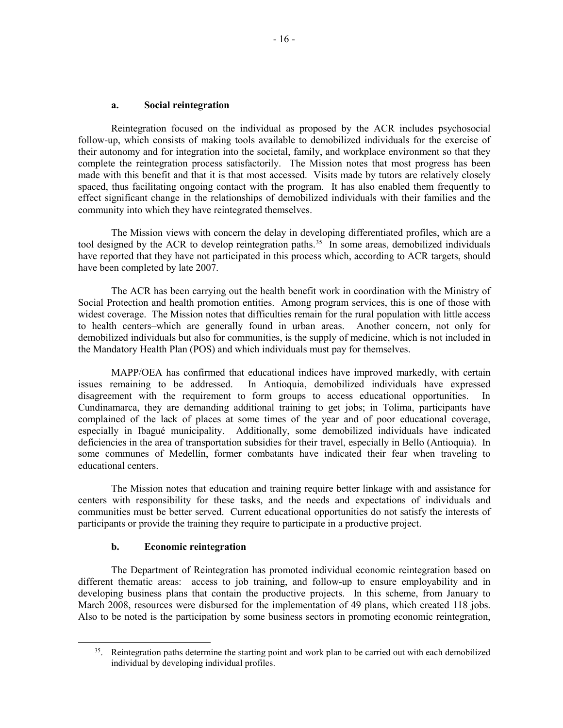#### **a. Social reintegration**

Reintegration focused on the individual as proposed by the ACR includes psychosocial follow-up, which consists of making tools available to demobilized individuals for the exercise of their autonomy and for integration into the societal, family, and workplace environment so that they complete the reintegration process satisfactorily. The Mission notes that most progress has been made with this benefit and that it is that most accessed. Visits made by tutors are relatively closely spaced, thus facilitating ongoing contact with the program. It has also enabled them frequently to effect significant change in the relationships of demobilized individuals with their families and the community into which they have reintegrated themselves.

The Mission views with concern the delay in developing differentiated profiles, which are a tool designed by the ACR to develop reintegration paths.<sup>35</sup> In some areas, demobilized individuals have reported that they have not participated in this process which, according to ACR targets, should have been completed by late 2007.

The ACR has been carrying out the health benefit work in coordination with the Ministry of Social Protection and health promotion entities. Among program services, this is one of those with widest coverage. The Mission notes that difficulties remain for the rural population with little access to health centers–which are generally found in urban areas. Another concern, not only for demobilized individuals but also for communities, is the supply of medicine, which is not included in the Mandatory Health Plan (POS) and which individuals must pay for themselves.

MAPP/OEA has confirmed that educational indices have improved markedly, with certain issues remaining to be addressed. In Antioquia, demobilized individuals have expressed disagreement with the requirement to form groups to access educational opportunities. In Cundinamarca, they are demanding additional training to get jobs; in Tolima, participants have complained of the lack of places at some times of the year and of poor educational coverage, especially in Ibagué municipality. Additionally, some demobilized individuals have indicated deficiencies in the area of transportation subsidies for their travel, especially in Bello (Antioquia). In some communes of Medellín, former combatants have indicated their fear when traveling to educational centers.

The Mission notes that education and training require better linkage with and assistance for centers with responsibility for these tasks, and the needs and expectations of individuals and communities must be better served. Current educational opportunities do not satisfy the interests of participants or provide the training they require to participate in a productive project.

#### **b. Economic reintegration**

The Department of Reintegration has promoted individual economic reintegration based on different thematic areas: access to job training, and follow-up to ensure employability and in developing business plans that contain the productive projects. In this scheme, from January to March 2008, resources were disbursed for the implementation of 49 plans, which created 118 jobs. Also to be noted is the participation by some business sectors in promoting economic reintegration,

<span id="page-16-0"></span><sup>&</sup>lt;sup>35</sup>. Reintegration paths determine the starting point and work plan to be carried out with each demobilized individual by developing individual profiles.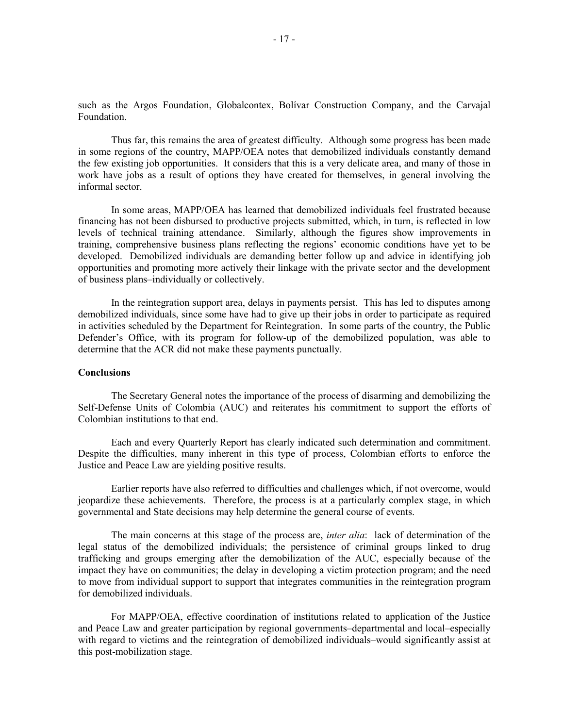such as the Argos Foundation, Globalcontex, Bolívar Construction Company, and the Carvajal Foundation.

Thus far, this remains the area of greatest difficulty. Although some progress has been made in some regions of the country, MAPP/OEA notes that demobilized individuals constantly demand the few existing job opportunities. It considers that this is a very delicate area, and many of those in work have jobs as a result of options they have created for themselves, in general involving the informal sector.

In some areas, MAPP/OEA has learned that demobilized individuals feel frustrated because financing has not been disbursed to productive projects submitted, which, in turn, is reflected in low levels of technical training attendance. Similarly, although the figures show improvements in training, comprehensive business plans reflecting the regions' economic conditions have yet to be developed. Demobilized individuals are demanding better follow up and advice in identifying job opportunities and promoting more actively their linkage with the private sector and the development of business plans–individually or collectively.

In the reintegration support area, delays in payments persist. This has led to disputes among demobilized individuals, since some have had to give up their jobs in order to participate as required in activities scheduled by the Department for Reintegration. In some parts of the country, the Public Defender's Office, with its program for follow-up of the demobilized population, was able to determine that the ACR did not make these payments punctually.

#### **Conclusions**

The Secretary General notes the importance of the process of disarming and demobilizing the Self-Defense Units of Colombia (AUC) and reiterates his commitment to support the efforts of Colombian institutions to that end.

Each and every Quarterly Report has clearly indicated such determination and commitment. Despite the difficulties, many inherent in this type of process, Colombian efforts to enforce the Justice and Peace Law are yielding positive results.

Earlier reports have also referred to difficulties and challenges which, if not overcome, would jeopardize these achievements. Therefore, the process is at a particularly complex stage, in which governmental and State decisions may help determine the general course of events.

The main concerns at this stage of the process are, *inter alia*: lack of determination of the legal status of the demobilized individuals; the persistence of criminal groups linked to drug trafficking and groups emerging after the demobilization of the AUC, especially because of the impact they have on communities; the delay in developing a victim protection program; and the need to move from individual support to support that integrates communities in the reintegration program for demobilized individuals.

For MAPP/OEA, effective coordination of institutions related to application of the Justice and Peace Law and greater participation by regional governments–departmental and local–especially with regard to victims and the reintegration of demobilized individuals–would significantly assist at this post-mobilization stage.